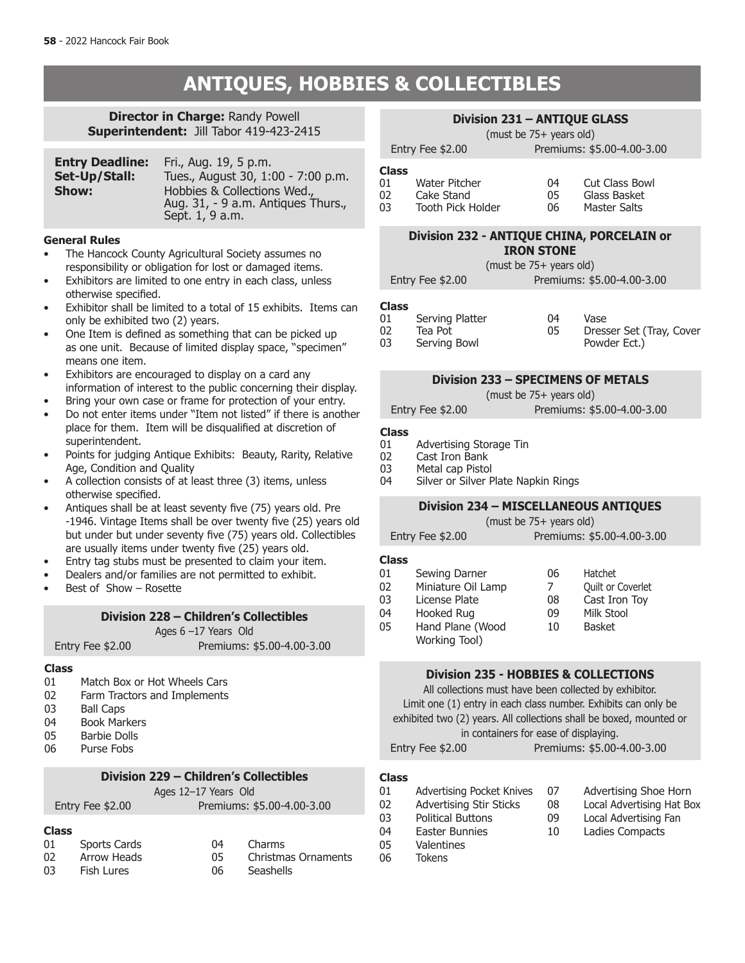# **ANTIQUES, HOBBIES & COLLECTIBLES**

### **Director in Charge:** Randy Powell **Superintendent:** Jill Tabor 419-423-2415

| <b>Entry Deadline:</b> | Fri., Aug. 19, 5 p.m.                                                                |
|------------------------|--------------------------------------------------------------------------------------|
| Set-Up/Stall:          | Tues., August 30, 1:00 - 7:00 p.m.                                                   |
| Show:                  | Hobbies & Collections Wed.,<br>Aug. 31, - 9 a.m. Antiques Thurs.,<br>Sept. 1, 9 a.m. |

#### **General Rules**

- The Hancock County Agricultural Society assumes no responsibility or obligation for lost or damaged items.
- Exhibitors are limited to one entry in each class, unless otherwise specified.
- Exhibitor shall be limited to a total of 15 exhibits. Items can only be exhibited two (2) years.
- One Item is defined as something that can be picked up as one unit. Because of limited display space, "specimen" means one item.
- Exhibitors are encouraged to display on a card any information of interest to the public concerning their display.
- Bring your own case or frame for protection of your entry.
- Do not enter items under "Item not listed" if there is another place for them. Item will be disqualified at discretion of superintendent.
- Points for judging Antique Exhibits: Beauty, Rarity, Relative Age, Condition and Quality
- A collection consists of at least three (3) items, unless otherwise specified.
- Antiques shall be at least seventy five (75) years old. Pre -1946. Vintage Items shall be over twenty five (25) years old but under but under seventy five (75) years old. Collectibles are usually items under twenty five (25) years old.
- Entry tag stubs must be presented to claim your item.
- Dealers and/or families are not permitted to exhibit.
- Best of Show Rosette

#### **Division 228 – Children's Collectibles**

Ages 6 –17 Years Old

Entry Fee \$2.00 Premiums: \$5.00-4.00-3.00

# **Class**

- Match Box or Hot Wheels Cars
- 02 Farm Tractors and Implements
- 03 Ball Caps<br>04 Book Mar
- Book Markers
- 05 Barbie Dolls 06 Purse Fobs

### **Division 229 – Children's Collectibles**

| Division 229 – Children's Collectibles         |    |                            |  |  |
|------------------------------------------------|----|----------------------------|--|--|
| Ages 12-17 Years Old                           |    |                            |  |  |
| Premiums: \$5.00-4.00-3.00<br>Entry Fee \$2.00 |    |                            |  |  |
| <b>Class</b>                                   |    |                            |  |  |
| Sports Cards<br>01                             | 04 | Charms                     |  |  |
| <b>Arrow Heads</b><br>02                       | 05 | <b>Christmas Ornaments</b> |  |  |
| 03<br><b>Fish Lures</b>                        | 06 | Seashells                  |  |  |

### **Division 231 – ANTIQUE GLASS**

(must be 75+ years old)

Entry Fee \$2.00 Premiums: \$5.00-4.00-3.00

| Class |     |
|-------|-----|
| 01    | Wat |

| снээ |                   |    |                |
|------|-------------------|----|----------------|
| 01   | Water Pitcher     | 04 | Cut Class Bowl |
| 02   | Cake Stand        | 05 | Glass Basket   |
| 03   | Tooth Pick Holder | 06 | Master Salts   |

#### **Division 232 - ANTIQUE CHINA, PORCELAIN or IRON STONE**

(must be 75+ years old)

Entry Fee \$2.00 Premiums: \$5.00-4.00-3.00

#### **Class**

| --------- |                 |    |                          |
|-----------|-----------------|----|--------------------------|
| 01        | Serving Platter | 04 | Vase                     |
| 02        | Tea Pot         | 05 | Dresser Set (Tray, Cover |
| 03        | Serving Bowl    |    | Powder Ect.)             |

#### **Division 233 – SPECIMENS OF METALS**

(must be 75+ years old)

Entry Fee \$2.00 Premiums: \$5.00-4.00-3.00

#### **Class**

- 01 Advertising Storage Tin<br>02 Cast Iron Bank
- 02 Cast Iron Bank<br>03 Metal cap Pistol
- 03 Metal cap Pistol<br>04 Silver or Silver P
	- Silver or Silver Plate Napkin Rings

### **Division 234 – MISCELLANEOUS ANTIQUES**

| (must be 75+ years old) |  |  |
|-------------------------|--|--|
|                         |  |  |

|  |  | Premiums: \$5.00-4.00-3.00 |
|--|--|----------------------------|

#### **Class**

| Sewing Darner      | 06 | Hatchet           |
|--------------------|----|-------------------|
| Miniature Oil Lamp | 7  | Quilt or Coverlet |
| License Plate      | 08 | Cast Iron Toy     |
| Hooked Rug         | 09 | Milk Stool        |
| Hand Plane (Wood   | 10 | <b>Basket</b>     |
| Working Tool)      |    |                   |
|                    |    |                   |

#### **Division 235 - HOBBIES & COLLECTIONS**

All collections must have been collected by exhibitor. Limit one (1) entry in each class number. Exhibits can only be exhibited two (2) years. All collections shall be boxed, mounted or in containers for ease of displaying. Entry Fee \$2.00 Premiums: \$5.00-4.00-3.00

#### **Class**

| 01 | <b>Advertising Pocket Knives</b> | 07 | Advertising Shoe Horn     |
|----|----------------------------------|----|---------------------------|
| 02 | <b>Advertising Stir Sticks</b>   | 08 | Local Advertising Hat Box |
|    |                                  |    |                           |
| 03 | <b>Political Buttons</b>         | 09 | Local Advertising Fan     |
| 04 | Easter Bunnies                   | 10 | Ladies Compacts           |
| 05 | <b>Valentines</b>                |    |                           |

- 06 Tokens
-